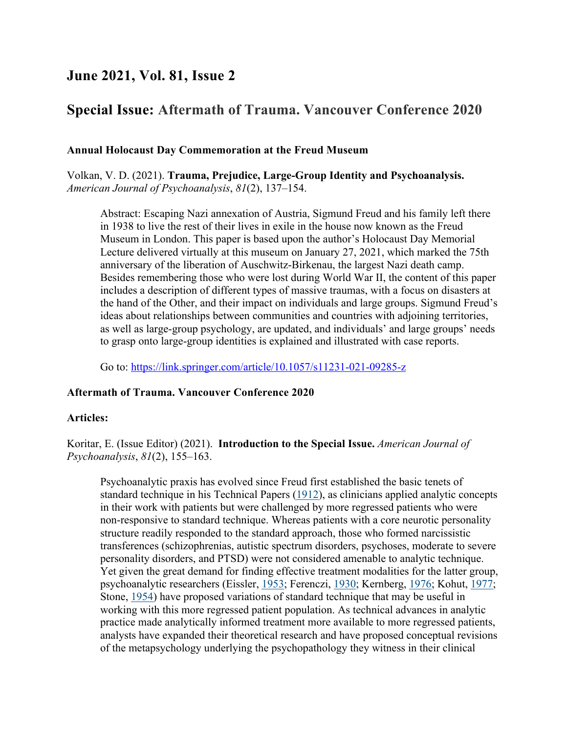## **June 2021, Vol. 81, Issue 2**

# **Special Issue: Aftermath of Trauma. Vancouver Conference 2020**

## **Annual Holocaust Day Commemoration at the Freud Museum**

Volkan, V. D. (2021). **Trauma, Prejudice, Large-Group Identity and Psychoanalysis.** *American Journal of Psychoanalysis*, *81*(2), 137–154.

Abstract: Escaping Nazi annexation of Austria, Sigmund Freud and his family left there in 1938 to live the rest of their lives in exile in the house now known as the Freud Museum in London. This paper is based upon the author's Holocaust Day Memorial Lecture delivered virtually at this museum on January 27, 2021, which marked the 75th anniversary of the liberation of Auschwitz-Birkenau, the largest Nazi death camp. Besides remembering those who were lost during World War II, the content of this paper includes a description of different types of massive traumas, with a focus on disasters at the hand of the Other, and their impact on individuals and large groups. Sigmund Freud's ideas about relationships between communities and countries with adjoining territories, as well as large-group psychology, are updated, and individuals' and large groups' needs to grasp onto large-group identities is explained and illustrated with case reports.

Go to: https://link.springer.com/article/10.1057/s11231-021-09285-z

#### **Aftermath of Trauma. Vancouver Conference 2020**

#### **Articles:**

Koritar, E. (Issue Editor) (2021). **Introduction to the Special Issue.** *American Journal of Psychoanalysis*, *81*(2), 155–163.

Psychoanalytic praxis has evolved since Freud first established the basic tenets of standard technique in his Technical Papers (1912), as clinicians applied analytic concepts in their work with patients but were challenged by more regressed patients who were non-responsive to standard technique. Whereas patients with a core neurotic personality structure readily responded to the standard approach, those who formed narcissistic transferences (schizophrenias, autistic spectrum disorders, psychoses, moderate to severe personality disorders, and PTSD) were not considered amenable to analytic technique. Yet given the great demand for finding effective treatment modalities for the latter group, psychoanalytic researchers (Eissler, 1953; Ferenczi, 1930; Kernberg, 1976; Kohut, 1977; Stone, 1954) have proposed variations of standard technique that may be useful in working with this more regressed patient population. As technical advances in analytic practice made analytically informed treatment more available to more regressed patients, analysts have expanded their theoretical research and have proposed conceptual revisions of the metapsychology underlying the psychopathology they witness in their clinical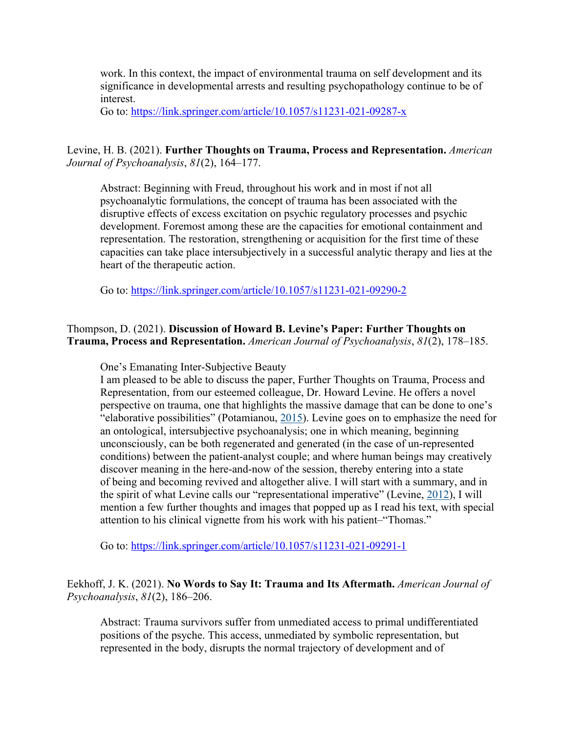work. In this context, the impact of environmental trauma on self development and its significance in developmental arrests and resulting psychopathology continue to be of interest.

Go to: https://link.springer.com/article/10.1057/s11231-021-09287-x

## Levine, H. B. (2021). **Further Thoughts on Trauma, Process and Representation.** *American Journal of Psychoanalysis*, *81*(2), 164–177.

Abstract: Beginning with Freud, throughout his work and in most if not all psychoanalytic formulations, the concept of trauma has been associated with the disruptive effects of excess excitation on psychic regulatory processes and psychic development. Foremost among these are the capacities for emotional containment and representation. The restoration, strengthening or acquisition for the first time of these capacities can take place intersubjectively in a successful analytic therapy and lies at the heart of the therapeutic action.

Go to: https://link.springer.com/article/10.1057/s11231-021-09290-2

## Thompson, D. (2021). **Discussion of Howard B. Levine's Paper: Further Thoughts on Trauma, Process and Representation.** *American Journal of Psychoanalysis*, *81*(2), 178–185.

One's Emanating Inter-Subjective Beauty

I am pleased to be able to discuss the paper, Further Thoughts on Trauma, Process and Representation, from our esteemed colleague, Dr. Howard Levine. He offers a novel perspective on trauma, one that highlights the massive damage that can be done to one's "elaborative possibilities" (Potamianou, 2015). Levine goes on to emphasize the need for an ontological, intersubjective psychoanalysis; one in which meaning, beginning unconsciously, can be both regenerated and generated (in the case of un-represented conditions) between the patient-analyst couple; and where human beings may creatively discover meaning in the here-and-now of the session, thereby entering into a state of being and becoming revived and altogether alive. I will start with a summary, and in the spirit of what Levine calls our "representational imperative" (Levine, 2012), I will mention a few further thoughts and images that popped up as I read his text, with special attention to his clinical vignette from his work with his patient–"Thomas."

Go to: https://link.springer.com/article/10.1057/s11231-021-09291-1

## Eekhoff, J. K. (2021). **No Words to Say It: Trauma and Its Aftermath.** *American Journal of Psychoanalysis*, *81*(2), 186–206.

Abstract: Trauma survivors suffer from unmediated access to primal undifferentiated positions of the psyche. This access, unmediated by symbolic representation, but represented in the body, disrupts the normal trajectory of development and of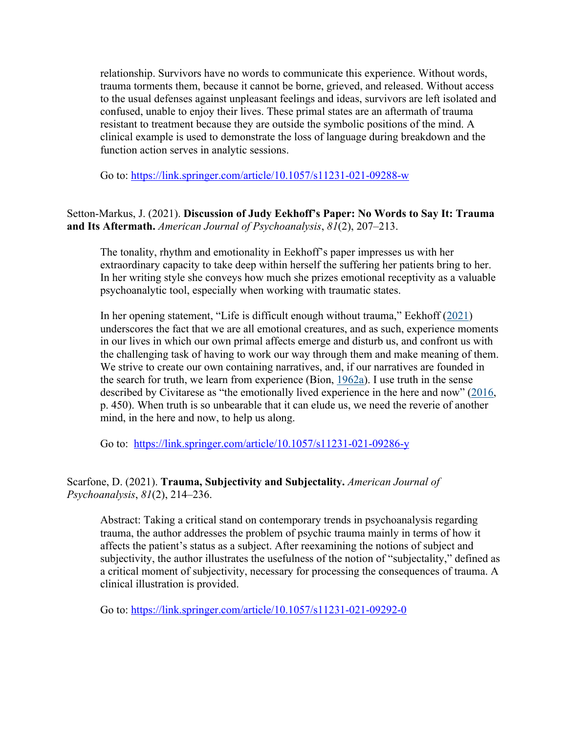relationship. Survivors have no words to communicate this experience. Without words, trauma torments them, because it cannot be borne, grieved, and released. Without access to the usual defenses against unpleasant feelings and ideas, survivors are left isolated and confused, unable to enjoy their lives. These primal states are an aftermath of trauma resistant to treatment because they are outside the symbolic positions of the mind. A clinical example is used to demonstrate the loss of language during breakdown and the function action serves in analytic sessions.

Go to: https://link.springer.com/article/10.1057/s11231-021-09288-w

## Setton-Markus, J. (2021). **Discussion of Judy Eekhoff's Paper: No Words to Say It: Trauma and Its Aftermath.** *American Journal of Psychoanalysis*, *81*(2), 207–213.

The tonality, rhythm and emotionality in Eekhoff's paper impresses us with her extraordinary capacity to take deep within herself the suffering her patients bring to her. In her writing style she conveys how much she prizes emotional receptivity as a valuable psychoanalytic tool, especially when working with traumatic states.

In her opening statement, "Life is difficult enough without trauma," Eekhoff (2021) underscores the fact that we are all emotional creatures, and as such, experience moments in our lives in which our own primal affects emerge and disturb us, and confront us with the challenging task of having to work our way through them and make meaning of them. We strive to create our own containing narratives, and, if our narratives are founded in the search for truth, we learn from experience (Bion,  $1962a$ ). I use truth in the sense described by Civitarese as "the emotionally lived experience in the here and now" (2016, p. 450). When truth is so unbearable that it can elude us, we need the reverie of another mind, in the here and now, to help us along.

Go to: https://link.springer.com/article/10.1057/s11231-021-09286-y

#### Scarfone, D. (2021). **Trauma, Subjectivity and Subjectality.** *American Journal of Psychoanalysis*, *81*(2), 214–236.

Abstract: Taking a critical stand on contemporary trends in psychoanalysis regarding trauma, the author addresses the problem of psychic trauma mainly in terms of how it affects the patient's status as a subject. After reexamining the notions of subject and subjectivity, the author illustrates the usefulness of the notion of "subjectality," defined as a critical moment of subjectivity, necessary for processing the consequences of trauma. A clinical illustration is provided.

Go to: https://link.springer.com/article/10.1057/s11231-021-09292-0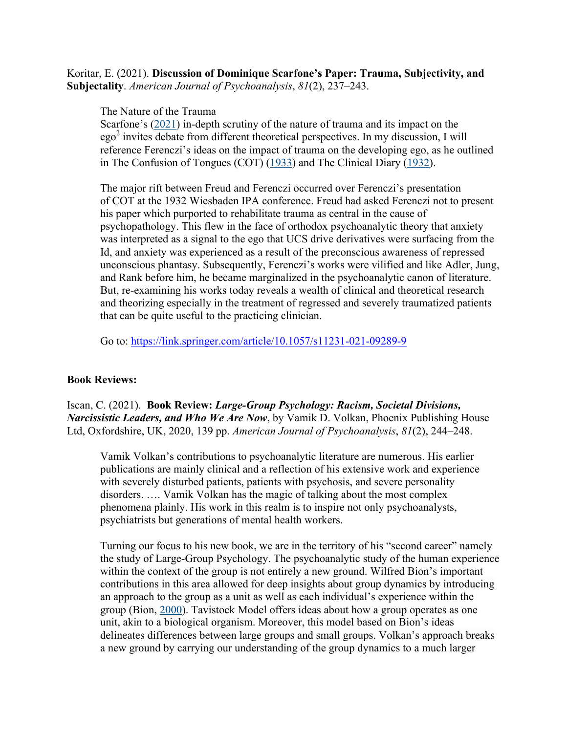Koritar, E. (2021). **Discussion of Dominique Scarfone's Paper: Trauma, Subjectivity, and Subjectality**. *American Journal of Psychoanalysis*, *81*(2), 237–243.

The Nature of the Trauma

Scarfone's (2021) in-depth scrutiny of the nature of trauma and its impact on the  $ego<sup>2</sup>$  invites debate from different theoretical perspectives. In my discussion, I will reference Ferenczi's ideas on the impact of trauma on the developing ego, as he outlined in The Confusion of Tongues (COT) (1933) and The Clinical Diary (1932).

The major rift between Freud and Ferenczi occurred over Ferenczi's presentation of COT at the 1932 Wiesbaden IPA conference. Freud had asked Ferenczi not to present his paper which purported to rehabilitate trauma as central in the cause of psychopathology. This flew in the face of orthodox psychoanalytic theory that anxiety was interpreted as a signal to the ego that UCS drive derivatives were surfacing from the Id, and anxiety was experienced as a result of the preconscious awareness of repressed unconscious phantasy. Subsequently, Ferenczi's works were vilified and like Adler, Jung, and Rank before him, he became marginalized in the psychoanalytic canon of literature. But, re-examining his works today reveals a wealth of clinical and theoretical research and theorizing especially in the treatment of regressed and severely traumatized patients that can be quite useful to the practicing clinician.

Go to: https://link.springer.com/article/10.1057/s11231-021-09289-9

#### **Book Reviews:**

Iscan, C. (2021). **Book Review:** *Large-Group Psychology: Racism, Societal Divisions, Narcissistic Leaders, and Who We Are Now*, by Vamik D. Volkan, Phoenix Publishing House Ltd, Oxfordshire, UK, 2020, 139 pp. *American Journal of Psychoanalysis*, *81*(2), 244–248.

Vamik Volkan's contributions to psychoanalytic literature are numerous. His earlier publications are mainly clinical and a reflection of his extensive work and experience with severely disturbed patients, patients with psychosis, and severe personality disorders. …. Vamik Volkan has the magic of talking about the most complex phenomena plainly. His work in this realm is to inspire not only psychoanalysts, psychiatrists but generations of mental health workers.

Turning our focus to his new book, we are in the territory of his "second career" namely the study of Large-Group Psychology. The psychoanalytic study of the human experience within the context of the group is not entirely a new ground. Wilfred Bion's important contributions in this area allowed for deep insights about group dynamics by introducing an approach to the group as a unit as well as each individual's experience within the group (Bion, 2000). Tavistock Model offers ideas about how a group operates as one unit, akin to a biological organism. Moreover, this model based on Bion's ideas delineates differences between large groups and small groups. Volkan's approach breaks a new ground by carrying our understanding of the group dynamics to a much larger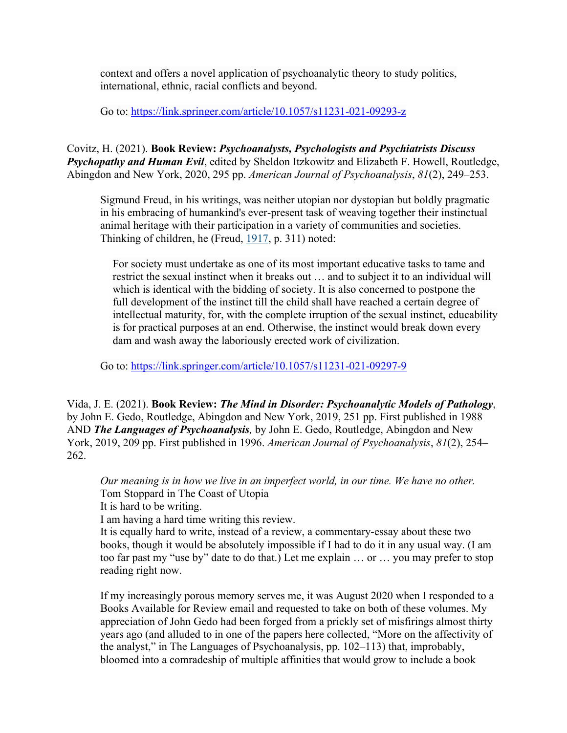context and offers a novel application of psychoanalytic theory to study politics, international, ethnic, racial conflicts and beyond.

Go to: https://link.springer.com/article/10.1057/s11231-021-09293-z

Covitz, H. (2021). **Book Review:** *Psychoanalysts, Psychologists and Psychiatrists Discuss Psychopathy and Human Evil*, edited by Sheldon Itzkowitz and Elizabeth F. Howell, Routledge, Abingdon and New York, 2020, 295 pp. *American Journal of Psychoanalysis*, *81*(2), 249–253.

Sigmund Freud, in his writings, was neither utopian nor dystopian but boldly pragmatic in his embracing of humankind's ever-present task of weaving together their instinctual animal heritage with their participation in a variety of communities and societies. Thinking of children, he (Freud, 1917, p. 311) noted:

For society must undertake as one of its most important educative tasks to tame and restrict the sexual instinct when it breaks out … and to subject it to an individual will which is identical with the bidding of society. It is also concerned to postpone the full development of the instinct till the child shall have reached a certain degree of intellectual maturity, for, with the complete irruption of the sexual instinct, educability is for practical purposes at an end. Otherwise, the instinct would break down every dam and wash away the laboriously erected work of civilization.

Go to: https://link.springer.com/article/10.1057/s11231-021-09297-9

Vida, J. E. (2021). **Book Review:** *The Mind in Disorder: Psychoanalytic Models of Pathology*, by John E. Gedo, Routledge, Abingdon and New York, 2019, 251 pp. First published in 1988 AND *The Languages of Psychoanalysis,* by John E. Gedo, Routledge, Abingdon and New York, 2019, 209 pp. First published in 1996. *American Journal of Psychoanalysis*, *81*(2), 254– 262.

*Our meaning is in how we live in an imperfect world, in our time. We have no other.* Tom Stoppard in The Coast of Utopia

It is hard to be writing.

I am having a hard time writing this review.

It is equally hard to write, instead of a review, a commentary-essay about these two books, though it would be absolutely impossible if I had to do it in any usual way. (I am too far past my "use by" date to do that.) Let me explain … or … you may prefer to stop reading right now.

If my increasingly porous memory serves me, it was August 2020 when I responded to a Books Available for Review email and requested to take on both of these volumes. My appreciation of John Gedo had been forged from a prickly set of misfirings almost thirty years ago (and alluded to in one of the papers here collected, "More on the affectivity of the analyst," in The Languages of Psychoanalysis, pp. 102–113) that, improbably, bloomed into a comradeship of multiple affinities that would grow to include a book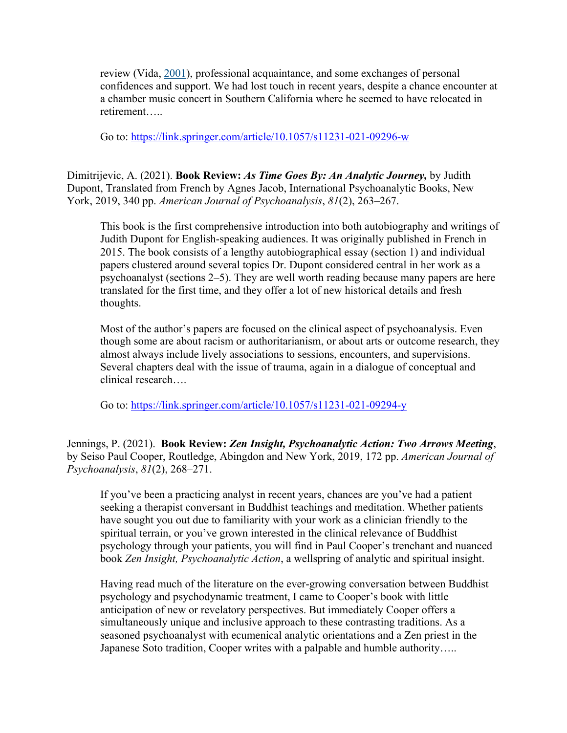review (Vida, 2001), professional acquaintance, and some exchanges of personal confidences and support. We had lost touch in recent years, despite a chance encounter at a chamber music concert in Southern California where he seemed to have relocated in retirement…..

Go to: https://link.springer.com/article/10.1057/s11231-021-09296-w

Dimitrijevic, A. (2021). **Book Review:** *As Time Goes By: An Analytic Journey,* by Judith Dupont, Translated from French by Agnes Jacob, International Psychoanalytic Books, New York, 2019, 340 pp. *American Journal of Psychoanalysis*, *81*(2), 263–267.

This book is the first comprehensive introduction into both autobiography and writings of Judith Dupont for English-speaking audiences. It was originally published in French in 2015. The book consists of a lengthy autobiographical essay (section 1) and individual papers clustered around several topics Dr. Dupont considered central in her work as a psychoanalyst (sections 2–5). They are well worth reading because many papers are here translated for the first time, and they offer a lot of new historical details and fresh thoughts.

Most of the author's papers are focused on the clinical aspect of psychoanalysis. Even though some are about racism or authoritarianism, or about arts or outcome research, they almost always include lively associations to sessions, encounters, and supervisions. Several chapters deal with the issue of trauma, again in a dialogue of conceptual and clinical research….

Go to: https://link.springer.com/article/10.1057/s11231-021-09294-y

Jennings, P. (2021). **Book Review:** *Zen Insight, Psychoanalytic Action: Two Arrows Meeting*, by Seiso Paul Cooper, Routledge, Abingdon and New York, 2019, 172 pp. *American Journal of Psychoanalysis*, *81*(2), 268–271.

If you've been a practicing analyst in recent years, chances are you've had a patient seeking a therapist conversant in Buddhist teachings and meditation. Whether patients have sought you out due to familiarity with your work as a clinician friendly to the spiritual terrain, or you've grown interested in the clinical relevance of Buddhist psychology through your patients, you will find in Paul Cooper's trenchant and nuanced book *Zen Insight, Psychoanalytic Action*, a wellspring of analytic and spiritual insight.

Having read much of the literature on the ever-growing conversation between Buddhist psychology and psychodynamic treatment, I came to Cooper's book with little anticipation of new or revelatory perspectives. But immediately Cooper offers a simultaneously unique and inclusive approach to these contrasting traditions. As a seasoned psychoanalyst with ecumenical analytic orientations and a Zen priest in the Japanese Soto tradition, Cooper writes with a palpable and humble authority…..